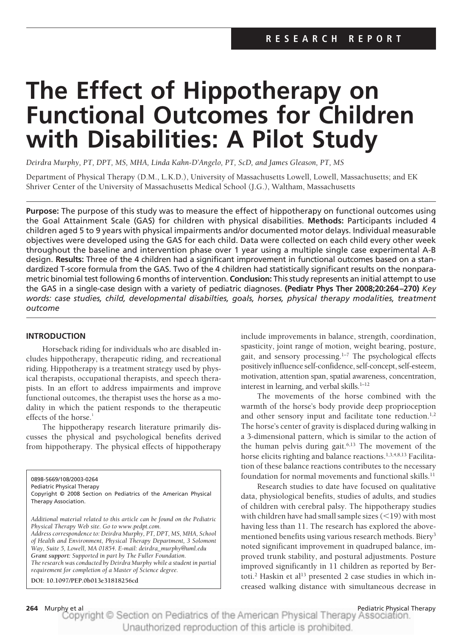# **The Effect of Hippotherapy on Functional Outcomes for Children with Disabilities: A Pilot Study**

*Deirdra Murphy, PT, DPT, MS, MHA, Linda Kahn-D'Angelo, PT, ScD, and James Gleason, PT, MS*

Department of Physical Therapy (D.M., L.K.D.), University of Massachusetts Lowell, Lowell, Massachusetts; and EK Shriver Center of the University of Massachusetts Medical School (J.G.), Waltham, Massachusetts

**Purpose:** The purpose of this study was to measure the effect of hippotherapy on functional outcomes using the Goal Attainment Scale (GAS) for children with physical disabilities. **Methods:** Participants included 4 children aged 5 to 9 years with physical impairments and/or documented motor delays. Individual measurable objectives were developed using the GAS for each child. Data were collected on each child every other week throughout the baseline and intervention phase over 1 year using a multiple single case experimental A-B design. **Results:** Three of the 4 children had a significant improvement in functional outcomes based on a standardized T-score formula from the GAS. Two of the 4 children had statistically significant results on the nonparametric binomial test following 6 months of intervention. **Conclusion:** This study represents an initial attempt to use the GAS in a single-case design with a variety of pediatric diagnoses. **(Pediatr Phys Ther 2008;20:264 –270)** *Key words: case studies, child, developmental disabilties, goals, horses, physical therapy modalities, treatment outcome*

# **INTRODUCTION**

Horseback riding for individuals who are disabled includes hippotherapy, therapeutic riding, and recreational riding. Hippotherapy is a treatment strategy used by physical therapists, occupational therapists, and speech therapists. In an effort to address impairments and improve functional outcomes, the therapist uses the horse as a modality in which the patient responds to the therapeutic effects of the horse.<sup>1</sup>

The hippotherapy research literature primarily discusses the physical and psychological benefits derived from hippotherapy. The physical effects of hippotherapy

0898-5669/108/2003-0264 Pediatric Physical Therapy Copyright © 2008 Section on Pediatrics of the American Physical Therapy Association. *Additional material related to this article can be found on the Pediatric Physical Therapy Web site. Go to www.pedpt.com. Address correspondence to: Deirdra Murphy, PT, DPT, MS, MHA, School of Health and Environment, Physical Therapy Department, 3 Solomont Way, Suite 5, Lowell, MA 01854. E-mail: deirdra\_murphy@uml.edu Grant support: Supported in part by The Fuller Foundation. The research was conducted by Deirdra Murphy while a student in partial requirement for completion of a Master of Science degree.* **DOI: 10.1097/PEP.0b013e31818256cd**

include improvements in balance, strength, coordination, spasticity, joint range of motion, weight bearing, posture, gait, and sensory processing.<sup>1-7</sup> The psychological effects positively influence self-confidence, self-concept, self-esteem, motivation, attention span, spatial awareness, concentration, interest in learning, and verbal skills. $1-12$ 

The movements of the horse combined with the warmth of the horse's body provide deep proprioception and other sensory input and facilitate tone reduction.<sup>1,2</sup> The horse's center of gravity is displaced during walking in a 3-dimensional pattern, which is similar to the action of the human pelvis during gait. $6,13$  The movement of the horse elicits righting and balance reactions.<sup>1,3,4,8,13</sup> Facilitation of these balance reactions contributes to the necessary foundation for normal movements and functional skills.<sup>11</sup>

Research studies to date have focused on qualitative data, physiological benefits, studies of adults, and studies of children with cerebral palsy. The hippotherapy studies with children have had small sample sizes  $(<19)$  with most having less than 11. The research has explored the abovementioned benefits using various research methods. Biery<sup>3</sup> noted significant improvement in quadruped balance, improved trunk stability, and postural adjustments. Posture improved significantly in 11 children as reported by Bertoti.<sup>2</sup> Haskin et al<sup>13</sup> presented 2 case studies in which increased walking distance with simultaneous decrease in

**264** Murphy et al<br>Copyright © Section on Pediatrics of the American Physical Therapy Association. Unauthorized reproduction of this article is prohibited.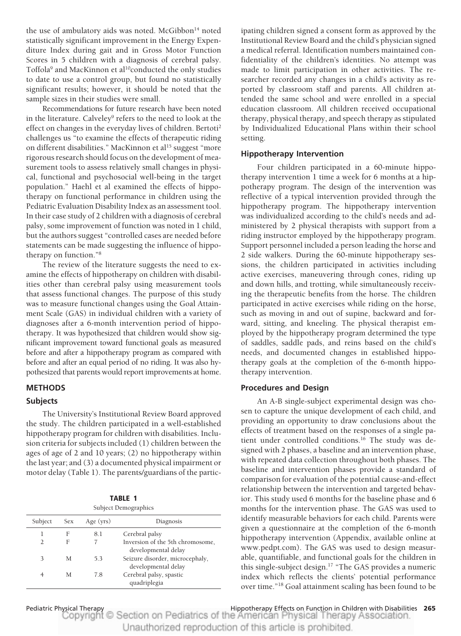the use of ambulatory aids was noted. McGibbon<sup>14</sup> noted statistically significant improvement in the Energy Expenditure Index during gait and in Gross Motor Function Scores in 5 children with a diagnosis of cerebral palsy. Toffola<sup>9</sup> and MacKinnon et al<sup>10</sup>conducted the only studies to date to use a control group, but found no statistically significant results; however, it should be noted that the sample sizes in their studies were small.

Recommendations for future research have been noted in the literature. Calveley<sup>9</sup> refers to the need to look at the effect on changes in the everyday lives of children. Bertoti<sup>2</sup> challenges us "to examine the effects of therapeutic riding on different disabilities." MacKinnon et al<sup>15</sup> suggest "more rigorous research should focus on the development of measurement tools to assess relatively small changes in physical, functional and psychosocial well-being in the target population." Haehl et al examined the effects of hippotherapy on functional performance in children using the Pediatric Evaluation Disability Index as an assessment tool. In their case study of 2 children with a diagnosis of cerebral palsy, some improvement of function was noted in 1 child, but the authors suggest "controlled cases are needed before statements can be made suggesting the influence of hippotherapy on function."8

The review of the literature suggests the need to examine the effects of hippotherapy on children with disabilities other than cerebral palsy using measurement tools that assess functional changes. The purpose of this study was to measure functional changes using the Goal Attainment Scale (GAS) in individual children with a variety of diagnoses after a 6-month intervention period of hippotherapy. It was hypothesized that children would show significant improvement toward functional goals as measured before and after a hippotherapy program as compared with before and after an equal period of no riding. It was also hypothesized that parents would report improvements at home.

# **METHODS**

#### **Subjects**

The University's Institutional Review Board approved the study. The children participated in a well-established hippotherapy program for children with disabilities. Inclusion criteria for subjects included (1) children between the ages of age of 2 and 10 years; (2) no hippotherapy within the last year; and (3) a documented physical impairment or motor delay (Table 1). The parents/guardians of the partic-

| <b>TABLE 1</b>       |  |
|----------------------|--|
| Subject Demographics |  |

| Subject | <b>Sex</b> | Age $(yrs)$ | Diagnosis                                               |
|---------|------------|-------------|---------------------------------------------------------|
|         | F          | 8.1         | Cerebral palsy                                          |
|         | F          |             | Inversion of the 5th chromosome,<br>developmental delay |
| З       | М          | 53          | Seizure disorder, microcephaly,<br>developmental delay  |
|         | М          | 7.8         | Cerebral palsy, spastic<br>quadriplegia                 |

ipating children signed a consent form as approved by the Institutional Review Board and the child's physician signed a medical referral. Identification numbers maintained confidentiality of the children's identities. No attempt was made to limit participation in other activities. The researcher recorded any changes in a child's activity as reported by classroom staff and parents. All children attended the same school and were enrolled in a special education classroom. All children received occupational therapy, physical therapy, and speech therapy as stipulated by Individualized Educational Plans within their school setting.

#### **Hippotherapy Intervention**

Four children participated in a 60-minute hippotherapy intervention 1 time a week for 6 months at a hippotherapy program. The design of the intervention was reflective of a typical intervention provided through the hippotherapy program. The hippotherapy intervention was individualized according to the child's needs and administered by 2 physical therapists with support from a riding instructor employed by the hippotherapy program. Support personnel included a person leading the horse and 2 side walkers. During the 60-minute hippotherapy sessions, the children participated in activities including active exercises, maneuvering through cones, riding up and down hills, and trotting, while simultaneously receiving the therapeutic benefits from the horse. The children participated in active exercises while riding on the horse, such as moving in and out of supine, backward and forward, sitting, and kneeling. The physical therapist employed by the hippotherapy program determined the type of saddles, saddle pads, and reins based on the child's needs, and documented changes in established hippotherapy goals at the completion of the 6-month hippotherapy intervention.

# **Procedures and Design**

An A-B single-subject experimental design was chosen to capture the unique development of each child, and providing an opportunity to draw conclusions about the effects of treatment based on the responses of a single patient under controlled conditions.<sup>16</sup> The study was designed with 2 phases, a baseline and an intervention phase, with repeated data collection throughout both phases. The baseline and intervention phases provide a standard of comparison for evaluation of the potential cause-and-effect relationship between the intervention and targeted behavior. This study used 6 months for the baseline phase and 6 months for the intervention phase. The GAS was used to identify measurable behaviors for each child. Parents were given a questionnaire at the completion of the 6-month hippotherapy intervention (Appendix, available online at www.pedpt.com). The GAS was used to design measurable, quantifiable, and functional goals for the children in this single-subject design.17 "The GAS provides a numeric index which reflects the clients' potential performance over time."18 Goal attainment scaling has been found to be

Pediatric Physical Therapy<br>Copyright © Section on Pediatrics of the American Physical Therapy Association.

Unauthorized reproduction of this article is prohibited.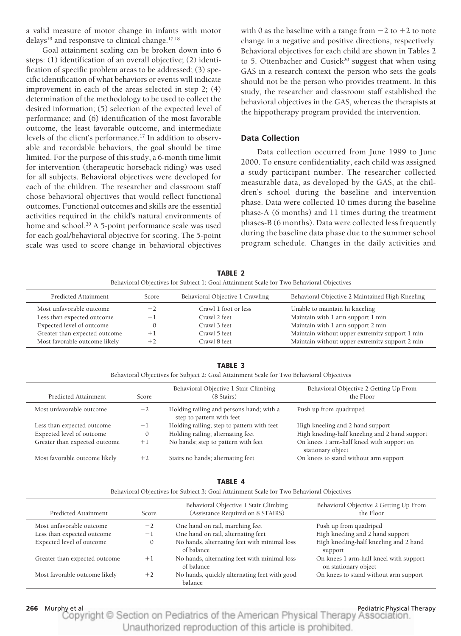a valid measure of motor change in infants with motor delays<sup>19</sup> and responsive to clinical change.<sup>17,18</sup>

Goal attainment scaling can be broken down into 6 steps: (1) identification of an overall objective; (2) identification of specific problem areas to be addressed; (3) specific identification of what behaviors or events will indicate improvement in each of the areas selected in step 2; (4) determination of the methodology to be used to collect the desired information; (5) selection of the expected level of performance; and (6) identification of the most favorable outcome, the least favorable outcome, and intermediate levels of the client's performance.<sup>17</sup> In addition to observable and recordable behaviors, the goal should be time limited. For the purpose of this study, a 6-month time limit for intervention (therapeutic horseback riding) was used for all subjects. Behavioral objectives were developed for each of the children. The researcher and classroom staff chose behavioral objectives that would reflect functional outcomes. Functional outcomes and skills are the essential activities required in the child's natural environments of home and school.<sup>20</sup> A 5-point performance scale was used for each goal/behavioral objective for scoring. The 5-point scale was used to score change in behavioral objectives

with 0 as the baseline with a range from  $-2$  to  $+2$  to note change in a negative and positive directions, respectively. Behavioral objectives for each child are shown in Tables 2 to 5. Ottenbacher and Cusick<sup>20</sup> suggest that when using GAS in a research context the person who sets the goals should not be the person who provides treatment. In this study, the researcher and classroom staff established the behavioral objectives in the GAS, whereas the therapists at the hippotherapy program provided the intervention.

# **Data Collection**

Data collection occurred from June 1999 to June 2000. To ensure confidentiality, each child was assigned a study participant number. The researcher collected measurable data, as developed by the GAS, at the children's school during the baseline and intervention phase. Data were collected 10 times during the baseline phase-A (6 months) and 11 times during the treatment phases-B (6 months). Data were collected less frequently during the baseline data phase due to the summer school program schedule. Changes in the daily activities and

**TABLE 2** Behavioral Objectives for Subject 1: Goal Attainment Scale for Two Behavioral Objectives

| Predicted Attainment          | Score.                   | Behavioral Objective 1 Crawling | Behavioral Objective 2 Maintained High Kneeling |
|-------------------------------|--------------------------|---------------------------------|-------------------------------------------------|
| Most unfavorable outcome      | $-1$                     | Crawl 1 foot or less            | Unable to maintain hi kneeling                  |
| Less than expected outcome    | $\overline{\phantom{a}}$ | Crawl 2 feet                    | Maintain with 1 arm support 1 min               |
| Expected level of outcome     |                          | Crawl 3 feet                    | Maintain with 1 arm support 2 min               |
| Greater than expected outcome | $+$                      | Crawl 5 feet                    | Maintain without upper extremity support 1 min  |
| Most favorable outcome likely |                          | Crawl 8 feet                    | Maintain without upper extremity support 2 min  |

**TABLE 3** Behavioral Objectives for Subject 2: Goal Attainment Scale for Two Behavioral Objectives

| Predicted Attainment          | Score. | Behavioral Objective 1 Stair Climbing<br>$(8 \text{ Stairs})$         | Behavioral Objective 2 Getting Up From<br>the Floor            |
|-------------------------------|--------|-----------------------------------------------------------------------|----------------------------------------------------------------|
| Most unfavorable outcome      | $-2$   | Holding railing and persons hand; with a<br>step to pattern with feet | Push up from quadruped                                         |
| Less than expected outcome    | $-1$   | Holding railing; step to pattern with feet                            | High kneeling and 2 hand support                               |
| Expected level of outcome     | 0      | Holding railing; alternating feet                                     | High kneeling-half kneeling and 2 hand support                 |
| Greater than expected outcome | $+1$   | No hands; step to pattern with feet                                   | On knees 1 arm-half kneel with support on<br>stationary object |
| Most favorable outcome likely | $+2$   | Stairs no hands; alternating feet                                     | On knees to stand without arm support                          |

#### **TABLE 4**

Behavioral Objectives for Subject 3: Goal Attainment Scale for Two Behavioral Objectives

| Predicted Attainment          | Score.       | Behavioral Objective 1 Stair Climbing<br>(Assistance Required on 8 STAIRS) | Behavioral Objective 2 Getting Up From<br>the Floor            |
|-------------------------------|--------------|----------------------------------------------------------------------------|----------------------------------------------------------------|
| Most unfavorable outcome      | $-2$         | One hand on rail, marching feet                                            | Push up from quadriped                                         |
| Less than expected outcome    | $^{-1}$      | One hand on rail, alternating feet                                         | High kneeling and 2 hand support                               |
| Expected level of outcome     | $\mathbf{0}$ | No hands, alternating feet with minimal loss<br>of balance                 | High kneeling-half kneeling and 2 hand<br>support              |
| Greater than expected outcome | $+1$         | No hands, alternating feet with minimal loss<br>of balance                 | On knees 1 arm-half kneel with support<br>on stationary object |
| Most favorable outcome likely | $+2$         | No hands, quickly alternating feet with good<br>balance                    | On knees to stand without arm support                          |

**266** Murphy et al Pediatric Physical Therapy<br>Copyright © Section on Pediatrics of the American Physical Therapy Association.

Unauthorized reproduction of this article is prohibited.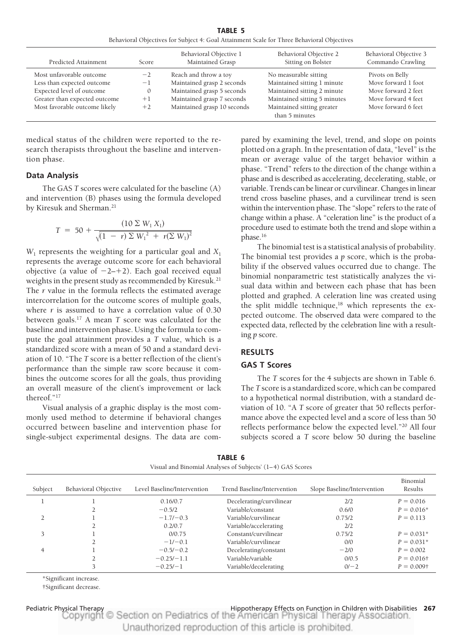**TABLE 5** Behavioral Objectives for Subject 4: Goal Attainment Scale for Three Behavioral Objectives

| Predicted Attainment          | Score.       | Behavioral Objective 1<br>Maintained Grasp | Behavioral Objective 2<br>Sitting on Bolster | Behavioral Objective 3<br>Commando Crawling |
|-------------------------------|--------------|--------------------------------------------|----------------------------------------------|---------------------------------------------|
| Most unfavorable outcome      | $-2$         | Reach and throw a toy                      | No measurable sitting                        | Pivots on Belly                             |
| Less than expected outcome    | $-1$         | Maintained grasp 2 seconds                 | Maintained sitting 1 minute                  | Move forward 1 foot                         |
| Expected level of outcome     | $\mathbf{0}$ | Maintained grasp 5 seconds                 | Maintained sitting 2 minute                  | Move forward 2 feet                         |
| Greater than expected outcome | $+1$         | Maintained grasp 7 seconds                 | Maintained sitting 5 minutes                 | Move forward 4 feet                         |
| Most favorable outcome likely | $+2$         | Maintained grasp 10 seconds                | Maintained sitting greater                   | Move forward 6 feet                         |
|                               |              |                                            | than 5 minutes                               |                                             |

medical status of the children were reported to the research therapists throughout the baseline and intervention phase.

# **Data Analysis**

The GAS *T* scores were calculated for the baseline (A) and intervention (B) phases using the formula developed by Kiresuk and Sherman.<sup>21</sup>

$$
T = 50 + \frac{(10 \Sigma W_1 X_1)}{\sqrt{(1 - r) \Sigma W_1^2 + r(\Sigma W_1)^2}}
$$

 $W_1$  represents the weighting for a particular goal and  $X_1$ represents the average outcome score for each behavioral objective (a value of  $-2+2$ ). Each goal received equal weights in the present study as recommended by Kiresuk.<sup>21</sup> The *r* value in the formula reflects the estimated average intercorrelation for the outcome scores of multiple goals, where *r* is assumed to have a correlation value of 0.30 between goals.17 A mean *T* score was calculated for the baseline and intervention phase. Using the formula to compute the goal attainment provides a *T* value, which is a standardized score with a mean of 50 and a standard deviation of 10. "The *T* score is a better reflection of the client's performance than the simple raw score because it combines the outcome scores for all the goals, thus providing an overall measure of the client's improvement or lack thereof."17

Visual analysis of a graphic display is the most commonly used method to determine if behavioral changes occurred between baseline and intervention phase for single-subject experimental designs. The data are com-

pared by examining the level, trend, and slope on points plotted on a graph. In the presentation of data, "level" is the mean or average value of the target behavior within a phase. "Trend" refers to the direction of the change within a phase and is described as accelerating, decelerating, stable, or variable. Trends can be linear or curvilinear. Changes in linear trend cross baseline phases, and a curvilinear trend is seen within the intervention phase. The "slope" refers to the rate of change within a phase. A "celeration line" is the product of a procedure used to estimate both the trend and slope within a phase.16

The binomial test is a statistical analysis of probability. The binomial test provides a *p* score, which is the probability if the observed values occurred due to change. The binomial nonparametric test statistically analyzes the visual data within and between each phase that has been plotted and graphed. A celeration line was created using the split middle technique,<sup>18</sup> which represents the expected outcome. The observed data were compared to the expected data, reflected by the celebration line with a resulting *p* score.

# **RESULTS**

# **GAS T Scores**

The *T* scores for the 4 subjects are shown in Table 6. The *T* score is a standardized score, which can be compared to a hypothetical normal distribution, with a standard deviation of 10. "A *T* score of greater that 50 reflects performance above the expected level and a score of less than 50 reflects performance below the expected level."20 All four subjects scored a *T* score below 50 during the baseline

| Subject | Behavioral Objective | Level Baseline/Intervention | Trend Baseline/Intervention | Slope Baseline/Intervention | Binomial<br>Results |
|---------|----------------------|-----------------------------|-----------------------------|-----------------------------|---------------------|
|         |                      | 0.16/0.7                    | Decelerating/curvilinear    | 2/2                         | $P = 0.016$         |
|         |                      | $-0.5/2$                    | Variable/constant           | 0.6/0                       | $P = 0.016*$        |
|         |                      | $-1.7/-0.3$                 | Variable/curvilinear        | 0.75/2                      | $P = 0.113$         |
|         |                      | 0.2/0.7                     | Variable/accelerating       | 2/2                         |                     |
|         |                      | 0/0.75                      | Constant/curvilinear        | 0.75/2                      | $P = 0.031*$        |
|         |                      | $-1/-0.1$                   | Variable/curvilinear        | 0/0                         | $P = 0.031*$        |
| 4       |                      | $-0.5/-0.2$                 | Decelerating/constant       | $-2/0$                      | $P = 0.002$         |
|         |                      | $-0.25/-1.1$                | Variable/variable           | 0/0.5                       | $P = 0.016\dagger$  |
|         |                      | $-0.25/-1$                  | Variable/decelerating       | $0/-2$                      | $P = 0.009\dagger$  |

**TABLE 6** Visual and Binomial Analyses of Subjects' (1-4) GAS Scores

\*Significant increase.

†Significant decrease.

Pediatric Physical Therapy Hippotherapy Effects on Function in Children with Disabilities **267**Unauthorized reproduction of this article is prohibited.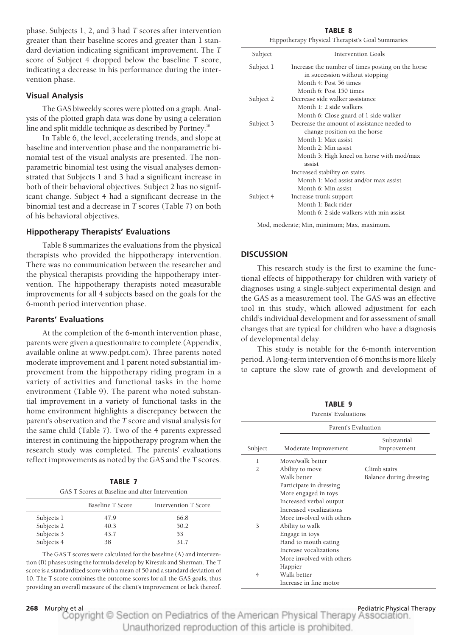phase. Subjects 1, 2, and 3 had *T* scores after intervention greater than their baseline scores and greater than 1 standard deviation indicating significant improvement. The *T* score of Subject 4 dropped below the baseline *T* score, indicating a decrease in his performance during the intervention phase.

#### **Visual Analysis**

The GAS biweekly scores were plotted on a graph. Analysis of the plotted graph data was done by using a celeration line and split middle technique as described by Portney.<sup>18</sup>

In Table 6, the level, accelerating trends, and slope at baseline and intervention phase and the nonparametric binomial test of the visual analysis are presented. The nonparametric binomial test using the visual analyses demonstrated that Subjects 1 and 3 had a significant increase in both of their behavioral objectives. Subject 2 has no significant change. Subject 4 had a significant decrease in the binomial test and a decrease in *T* scores (Table 7) on both of his behavioral objectives.

#### **Hippotherapy Therapists' Evaluations**

Table 8 summarizes the evaluations from the physical therapists who provided the hippotherapy intervention. There was no communication between the researcher and the physical therapists providing the hippotherapy intervention. The hippotherapy therapists noted measurable improvements for all 4 subjects based on the goals for the 6-month period intervention phase.

#### **Parents' Evaluations**

At the completion of the 6-month intervention phase, parents were given a questionnaire to complete (Appendix, available online at www.pedpt.com). Three parents noted moderate improvement and 1 parent noted substantial improvement from the hippotherapy riding program in a variety of activities and functional tasks in the home environment (Table 9). The parent who noted substantial improvement in a variety of functional tasks in the home environment highlights a discrepancy between the parent's observation and the *T* score and visual analysis for the same child (Table 7). Two of the 4 parents expressed interest in continuing the hippotherapy program when the research study was completed. The parents' evaluations reflect improvements as noted by the GAS and the *T* scores.

**TABLE 7** GAS T Scores at Baseline and after Intervention

| Baseline T Score | Intervention T Score |
|------------------|----------------------|
| 47.9             | 66.8                 |
| 40.3             | 50.2                 |
| 43.7             | 53                   |
| 38               | 317                  |
|                  |                      |

The GAS T scores were calculated for the baseline (A) and intervention (B) phases using the formula develop by Kiresuk and Sherman. The T score is a standardized score with a mean of 50 and a standard deviation of 10. The T score combines the outcome scores for all the GAS goals, thus providing an overall measure of the client's improvement or lack thereof.

**TABLE 8** Hippotherapy Physical Therapist's Goal Summaries

| Subject   | <b>Intervention Goals</b>                         |
|-----------|---------------------------------------------------|
| Subject 1 | Increase the number of times posting on the horse |
|           | in succession without stopping                    |
|           | Month 4: Post 56 times                            |
|           | Month 6: Post 150 times                           |
| Subject 2 | Decrease side walker assistance                   |
|           | Month 1: 2 side walkers                           |
|           | Month 6: Close guard of 1 side walker             |
| Subject 3 | Decrease the amount of assistance needed to       |
|           | change position on the horse                      |
|           | Month 1: Max assist                               |
|           | Month 2: Min assist                               |
|           | Month 3: High kneel on horse with mod/max         |
|           | assist                                            |
|           | Increased stability on stairs                     |
|           | Month 1: Mod assist and/or max assist             |
|           | Month 6: Min assist                               |
| Subject 4 | Increase trunk support                            |
|           | Month 1: Back rider                               |
|           | Month 6: 2 side walkers with min assist           |

Mod, moderate; Min, minimum; Max, maximum.

#### **DISCUSSION**

This research study is the first to examine the functional effects of hippotherapy for children with variety of diagnoses using a single-subject experimental design and the GAS as a measurement tool. The GAS was an effective tool in this study, which allowed adjustment for each child's individual development and for assessment of small changes that are typical for children who have a diagnosis of developmental delay.

This study is notable for the 6-month intervention period. A long-term intervention of 6 months is more likely to capture the slow rate of growth and development of

**TABLE 9**

| IABLE Y |                           |                         |  |  |
|---------|---------------------------|-------------------------|--|--|
|         | Parents' Evaluations      |                         |  |  |
|         |                           | Parent's Evaluation     |  |  |
|         |                           | Substantial             |  |  |
| Subject | Moderate Improvement      | Improvement             |  |  |
| 1       | Move/walk better          |                         |  |  |
| 2       | Ability to move           | Climb stairs            |  |  |
|         | Walk better               | Balance during dressing |  |  |
|         | Participate in dressing   |                         |  |  |
|         | More engaged in toys      |                         |  |  |
|         | Increased verbal output   |                         |  |  |
|         | Increased vocalizations   |                         |  |  |
|         | More involved with others |                         |  |  |
| 3       | Ability to walk           |                         |  |  |
|         | Engage in toys            |                         |  |  |
|         | Hand to mouth eating      |                         |  |  |
|         | Increase vocalizations    |                         |  |  |
|         | More involved with others |                         |  |  |
|         | Happier                   |                         |  |  |
| 4       | Walk better               |                         |  |  |
|         | Increase in fine motor    |                         |  |  |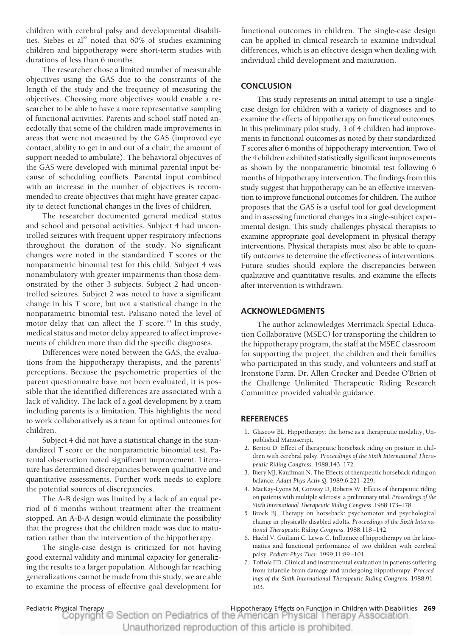children with cerebral palsy and developmental disabilities. Siebes et al<sup>22</sup> noted that  $60\%$  of studies examining children and hippotherapy were short-term studies with durations of less than 6 months.

The researcher chose a limited number of measurable objectives using the GAS due to the constraints of the length of the study and the frequency of measuring the objectives. Choosing more objectives would enable a researcher to be able to have a more representative sampling of functional activities. Parents and school staff noted anecdotally that some of the children made improvements in areas that were not measured by the GAS (improved eye contact, ability to get in and out of a chair, the amount of support needed to ambulate). The behavioral objectives of the GAS were developed with minimal parental input because of scheduling conflicts. Parental input combined with an increase in the number of objectives is recommended to create objectives that might have greater capacity to detect functional changes in the lives of children.

The researcher documented general medical status and school and personal activities. Subject 4 had uncontrolled seizures with frequent upper respiratory infections throughout the duration of the study. No significant changes were noted in the standardized *T* scores or the nonparametric binomial test for this child. Subject 4 was nonambulatory with greater impairments than those demonstrated by the other 3 subjects. Subject 2 had uncontrolled seizures. Subject 2 was noted to have a significant change in his *T* score, but not a statistical change in the nonparametric binomial test. Palisano noted the level of motor delay that can affect the *T* score.<sup>19</sup> In this study, medical status and motor delay appeared to affect improvements of children more than did the specific diagnoses.

Differences were noted between the GAS, the evaluations from the hippotherapy therapists, and the parents' perceptions. Because the psychometric properties of the parent questionnaire have not been evaluated, it is possible that the identified differences are associated with a lack of validity. The lack of a goal development by a team including parents is a limitation. This highlights the need to work collaboratively as a team for optimal outcomes for children.

Subject 4 did not have a statistical change in the standardized *T* score or the nonparametric binomial test. Parental observation noted significant improvement. Literature has determined discrepancies between qualitative and quantitative assessments. Further work needs to explore the potential sources of discrepancies.

The A-B design was limited by a lack of an equal period of 6 months without treatment after the treatment stopped. An A-B-A design would eliminate the possibility that the progress that the children made was due to maturation rather than the intervention of the hippotherapy.

The single-case design is criticized for not having good external validity and minimal capacity for generalizing the results to a larger population. Although far reaching generalizations cannot be made from this study, we are able to examine the process of effective goal development for

functional outcomes in children. The single-case design can be applied in clinical research to examine individual differences, which is an effective design when dealing with individual child development and maturation.

#### **CONCLUSION**

This study represents an initial attempt to use a singlecase design for children with a variety of diagnoses and to examine the effects of hippotherapy on functional outcomes. In this preliminary pilot study, 3 of 4 children had improvements in functional outcomes as noted by their standardized *T* scores after 6 months of hippotherapy intervention. Two of the 4 children exhibited statistically significant improvements as shown by the nonparametric binomial test following 6 months of hippotherapy intervention. The findings from this study suggest that hippotherapy can be an effective intervention to improve functional outcomes for children. The author proposes that the GAS is a useful tool for goal development and in assessing functional changes in a single-subject experimental design. This study challenges physical therapists to examine appropriate goal development in physical therapy interventions. Physical therapists must also be able to quantify outcomes to determine the effectiveness of interventions. Future studies should explore the discrepancies between qualitative and quantitative results, and examine the effects after intervention is withdrawn.

## **ACKNOWLEDGMENTS**

The author acknowledges Merrimack Special Education Collaborative (MSEC) for transporting the children to the hippotherapy program, the staff at the MSEC classroom for supporting the project, the children and their families who participated in this study, and volunteers and staff at Ironstone Farm. Dr. Allen Crocker and Deedee O'Brien of the Challenge Unlimited Therapeutic Riding Research Committee provided valuable guidance.

#### **REFERENCES**

- 1. Glascow BL. Hippotherapy: the horse as a therapeutic modality, Unpublished Manuscript.
- 2. Bertoti D. Effect of therapeutic horseback riding on posture in children with cerebral palsy. *Proceedings of the Sixth International Therapeutic Riding Congress.* 1988;143–172.
- 3. Biery MJ, Kauffman N. The Effects of therapeutic horseback riding on balance. *Adapt Phys Activ Q.* 1989;6:221–229.
- 4. MacKay-Lyons M, Conway D, Roberts W. Effects of therapeutic riding on patients with multiple sclerosis: a preliminary trial. *Proceedings of the Sixth International Therapeutic Riding Congress.* 1988:173–178.
- 5. Brock BJ. Therapy on horseback: psychomotor and psychological change in physically disabled adults. *Proceedings of the Sixth International Therapeutic Riding Congress.* 1988:118 –142.
- 6. Haehl V, Guiliani C, Lewis C. Influence of hippotherapy on the kinematics and functional performance of two children with cerebral palsy. *Pediatr Phys Ther.* 1999;11:89 –101.
- 7. Toffola ED. Clinical and instrumental evaluation in patients suffering from infantile brain damage and undergoing hippotherapy. *Proceedings of the Sixth International Therapeutic Riding Congress.* 1988:91– 103.

Pediatric Physical Therapy<br>Copyright © Section on Pediatrics of the American Physical Therapy Association. Unauthorized reproduction of this article is prohibited.